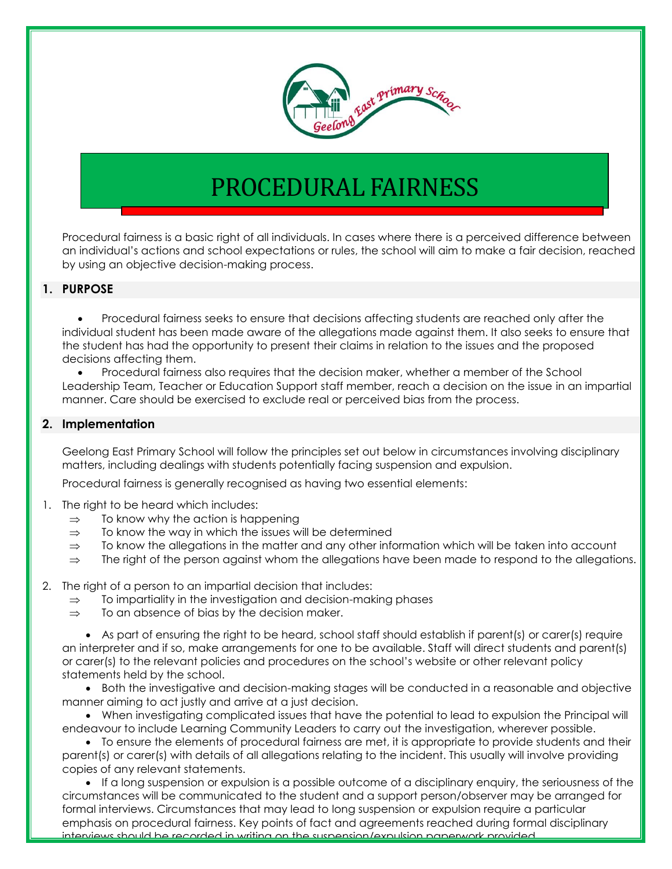

## PROCEDURAL FAIRNESS

Procedural fairness is a basic right of all individuals. In cases where there is a perceived difference between an individual's actions and school expectations or rules, the school will aim to make a fair decision, reached by using an objective decision-making process.

## **1. PURPOSE**

 Procedural fairness seeks to ensure that decisions affecting students are reached only after the individual student has been made aware of the allegations made against them. It also seeks to ensure that the student has had the opportunity to present their claims in relation to the issues and the proposed decisions affecting them.

 Procedural fairness also requires that the decision maker, whether a member of the School Leadership Team, Teacher or Education Support staff member, reach a decision on the issue in an impartial manner. Care should be exercised to exclude real or perceived bias from the process.

## **2. Implementation**

Geelong East Primary School will follow the principles set out below in circumstances involving disciplinary matters, including dealings with students potentially facing suspension and expulsion.

Procedural fairness is generally recognised as having two essential elements:

- 1. The right to be heard which includes:
	- $\Rightarrow$  To know why the action is happening
	- $\Rightarrow$  To know the way in which the issues will be determined
	- $\Rightarrow$  To know the allegations in the matter and any other information which will be taken into account
	- $\Rightarrow$  The right of the person against whom the allegations have been made to respond to the allegations.
- 2. The right of a person to an impartial decision that includes:
	- $\Rightarrow$  To impartiality in the investigation and decision-making phases
	- $\Rightarrow$  To an absence of bias by the decision maker.

• As part of ensuring the right to be heard, school staff should establish if parent(s) or carer(s) require an interpreter and if so, make arrangements for one to be available. Staff will direct students and parent(s) or carer(s) to the relevant policies and procedures on the school's website or other relevant policy statements held by the school.

 Both the investigative and decision-making stages will be conducted in a reasonable and objective manner aiming to act justly and arrive at a just decision.

 When investigating complicated issues that have the potential to lead to expulsion the Principal will endeavour to include Learning Community Leaders to carry out the investigation, wherever possible.

• To ensure the elements of procedural fairness are met, it is appropriate to provide students and their parent(s) or carer(s) with details of all allegations relating to the incident. This usually will involve providing copies of any relevant statements.

 If a long suspension or expulsion is a possible outcome of a disciplinary enquiry, the seriousness of the circumstances will be communicated to the student and a support person/observer may be arranged for formal interviews. Circumstances that may lead to long suspension or expulsion require a particular emphasis on procedural fairness. Key points of fact and agreements reached during formal disciplinary interviews should be recorded in writing on the suspension/expulsion paperwork provided.